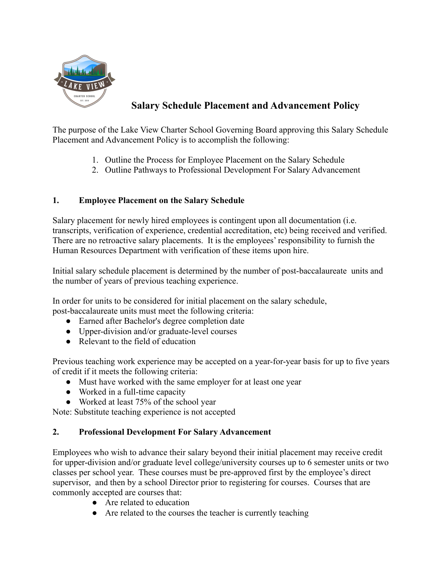

## **Salary Schedule Placement and Advancement Policy**

The purpose of the Lake View Charter School Governing Board approving this Salary Schedule Placement and Advancement Policy is to accomplish the following:

- 1. Outline the Process for Employee Placement on the Salary Schedule
- 2. Outline Pathways to Professional Development For Salary Advancement

## **1. Employee Placement on the Salary Schedule**

Salary placement for newly hired employees is contingent upon all documentation (i.e. transcripts, verification of experience, credential accreditation, etc) being received and verified. There are no retroactive salary placements. It is the employees' responsibility to furnish the Human Resources Department with verification of these items upon hire.

Initial salary schedule placement is determined by the number of post-baccalaureate units and the number of years of previous teaching experience.

In order for units to be considered for initial placement on the salary schedule, post-baccalaureate units must meet the following criteria:

- Earned after Bachelor's degree completion date
- Upper-division and/or graduate-level courses
- Relevant to the field of education

Previous teaching work experience may be accepted on a year-for-year basis for up to five years of credit if it meets the following criteria:

- Must have worked with the same employer for at least one year
- Worked in a full-time capacity
- Worked at least 75% of the school year

Note: Substitute teaching experience is not accepted

## **2. Professional Development For Salary Advancement**

Employees who wish to advance their salary beyond their initial placement may receive credit for upper-division and/or graduate level college/university courses up to 6 semester units or two classes per school year. These courses must be pre-approved first by the employee's direct supervisor, and then by a school Director prior to registering for courses. Courses that are commonly accepted are courses that:

- Are related to education
- Are related to the courses the teacher is currently teaching